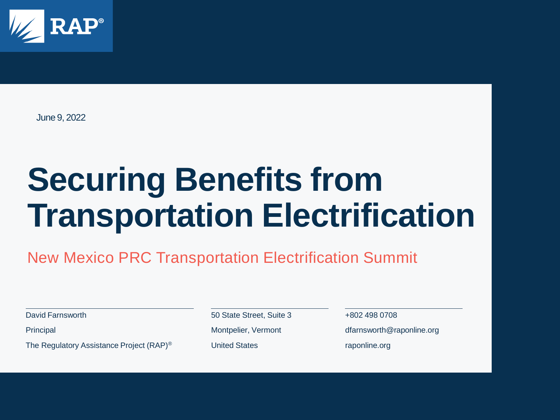

June 9, 2022

# **Securing Benefits from Transportation Electrification**

New Mexico PRC Transportation Electrification Summit

David Farnsworth

**Principal** 

The Regulatory Assistance Project (RAP)®

50 State Street, Suite 3 Montpelier, Vermont United States

+802 498 0708 dfarnsworth@raponline.org raponline.org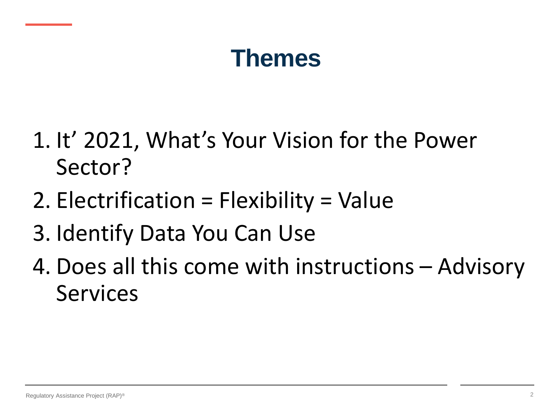### **Themes**

- 1. It' 2021, What's Your Vision for the Power Sector?
- 2. Electrification = Flexibility = Value
- 3. Identify Data You Can Use
- 4. Does all this come with instructions Advisory Services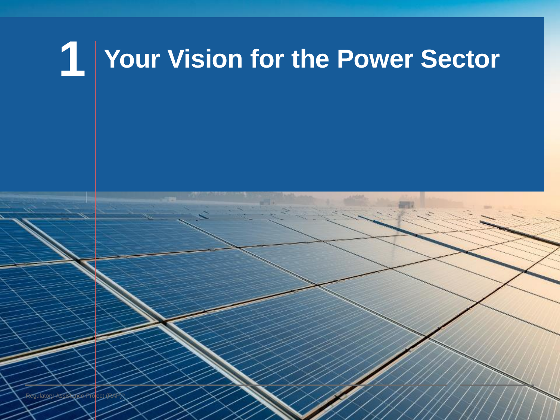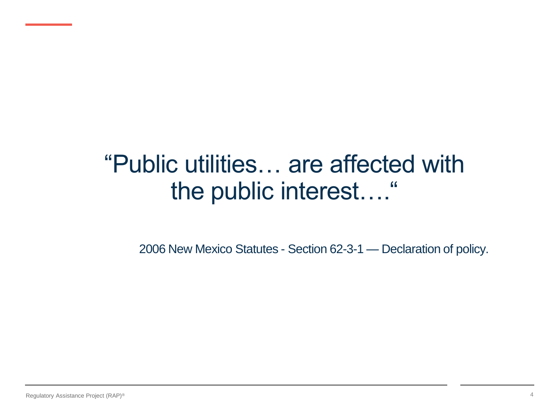### "Public utilities… are affected with the public interest…."

2006 New Mexico Statutes - Section 62-3-1 — Declaration of policy.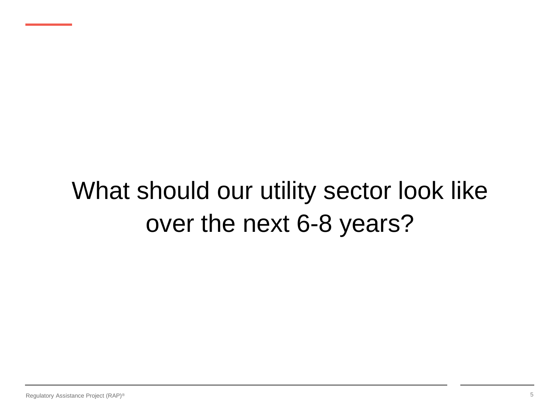### What should our utility sector look like over the next 6-8 years?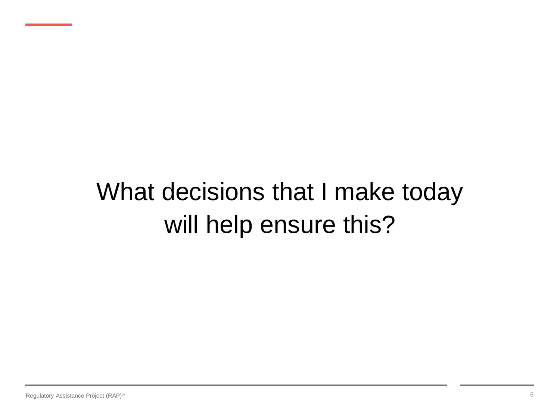### What decisions that I make today will help ensure this?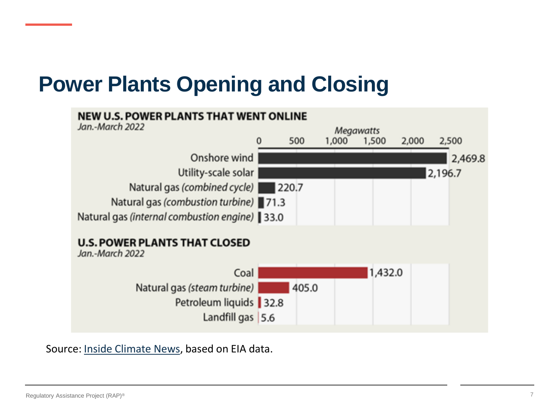### **Power Plants Opening and Closing**



Source: [Inside Climate News,](https://insideclimatenews.org/news/02062022/inside-clean-energy-renewables-2022/) based on EIA data.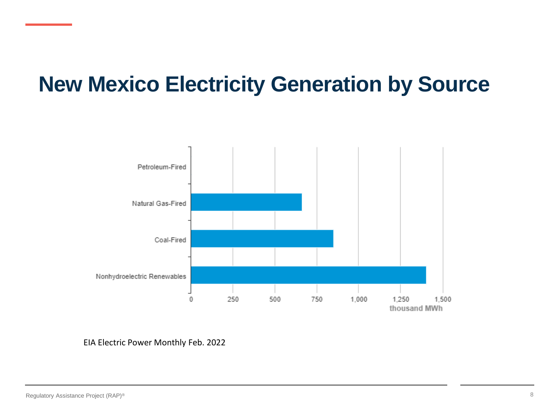### **New Mexico Electricity Generation by Source**



EIA Electric Power Monthly Feb. 2022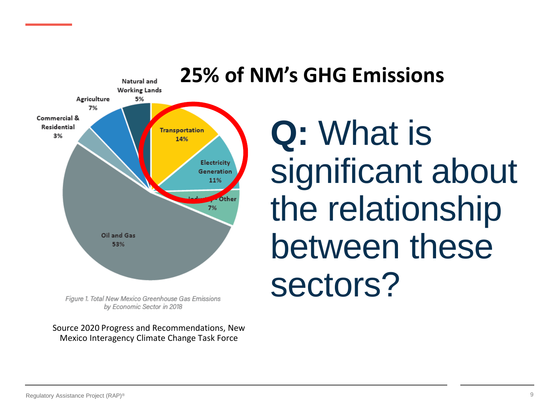

#### by Economic Sector in 2018

Source 2020 Progress and Recommendations, New Mexico Interagency Climate Change Task Force

# **Q:** What is significant about the relationship between these sectors?

#### Regulatory Assistance Project (RAP)®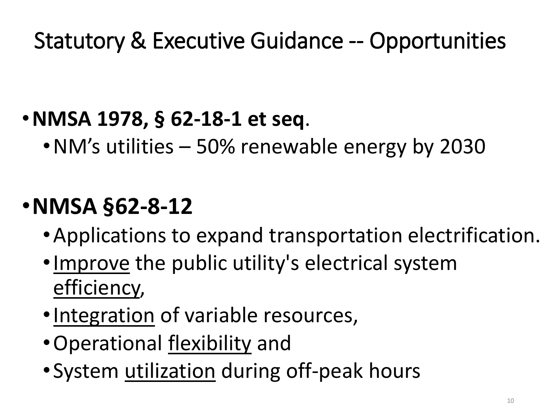### Statutory & Executive Guidance -- Opportunities

### •**NMSA 1978, § 62-18-1 et seq**.

•NM's utilities – 50% renewable energy by 2030

### •**NMSA §62-8-12**

- •Applications to expand transportation electrification.
- •Improve the public utility's electrical system efficiency,
- •Integration of variable resources,
- •Operational flexibility and
- •System utilization during off-peak hours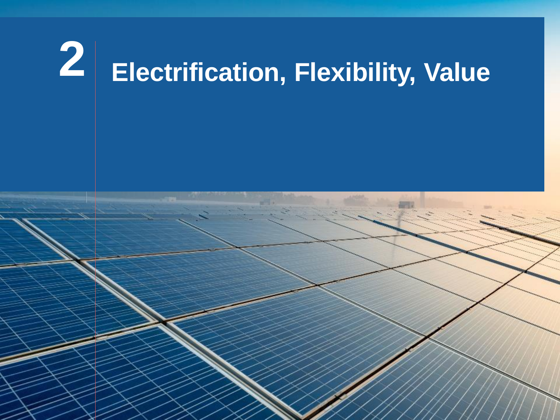# **Electrification, Flexibility, Value**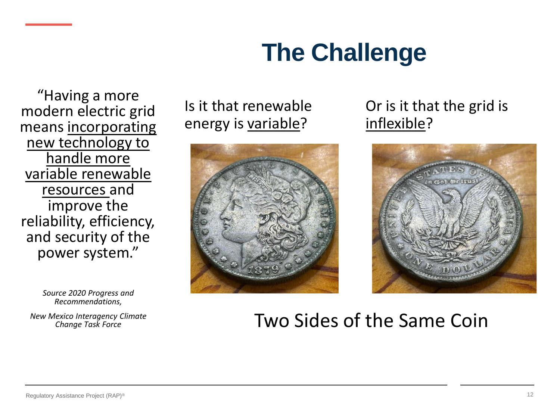### **The Challenge**

"Having a more modern electric grid means incorporating new technology to handle more variable renewable resources and improve the reliability, efficiency, and security of the power system."

> *Source 2020 Progress and Recommendations,*

*New Mexico Interagency Climate Change Task Force*

Is it that renewable energy is variable?



#### Or is it that the grid is inflexible?



#### Two Sides of the Same Coin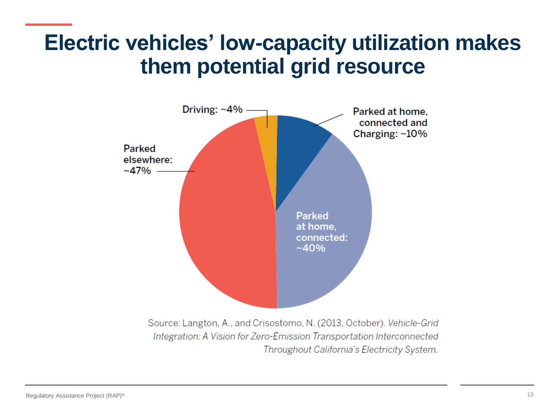### **Electric vehicles' low-capacity utilization makes them potential grid resource**



Integration: A Vision for Zero-Emission Transportation Interconnected Throughout California's Electricity System.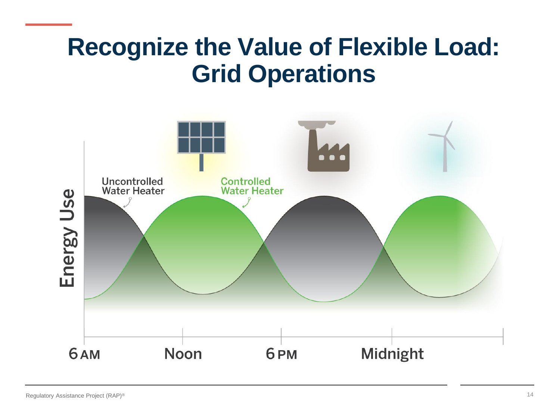### **Recognize the Value of Flexible Load: Grid Operations**

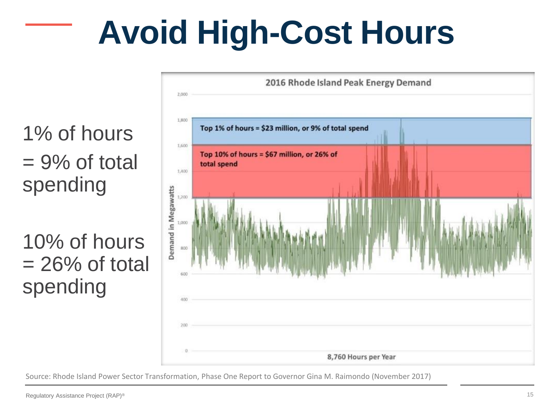# **Avoid High-Cost Hours**

1% of hours  $= 9\%$  of total spending

10% of hours  $= 26\%$  of total spending



Source: Rhode Island Power Sector Transformation, Phase One Report to Governor Gina M. Raimondo (November 2017)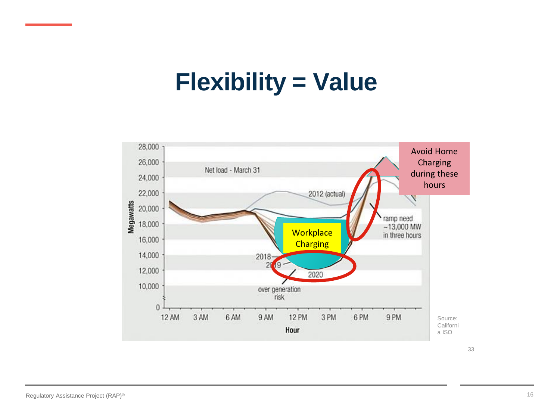### **Flexibility = Value**



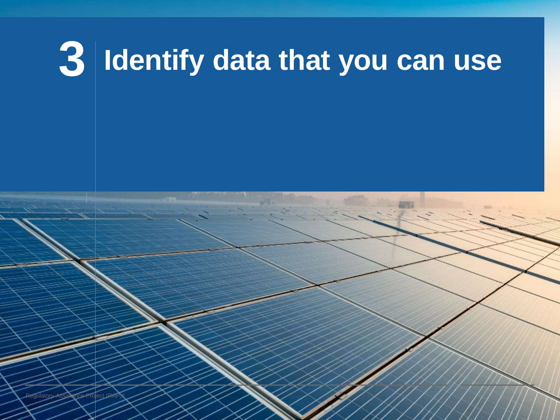# **3 Identify data that you can use**

Regulatory Assistance Project (RAP)®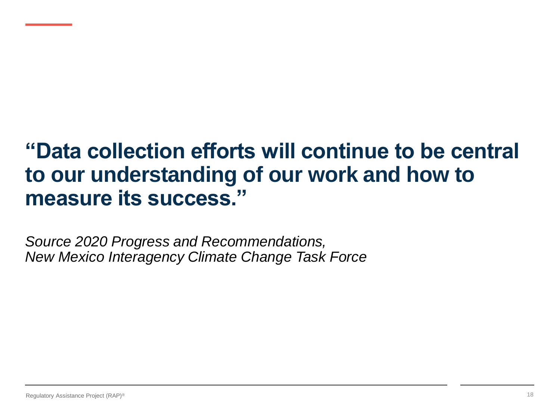### **"Data collection efforts will continue to be central to our understanding of our work and how to measure its success."**

*Source 2020 Progress and Recommendations, New Mexico Interagency Climate Change Task Force*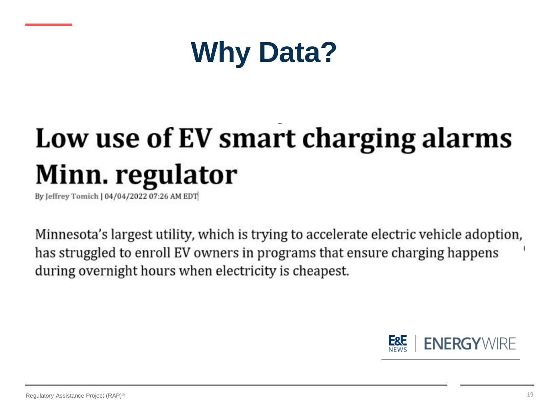

# Low use of EV smart charging alarms Minn. regulator

By leffrey Tomich | 04/04/2022 07:26 AM EDT

Minnesota's largest utility, which is trying to accelerate electric vehicle adoption, has struggled to enroll EV owners in programs that ensure charging happens during overnight hours when electricity is cheapest.

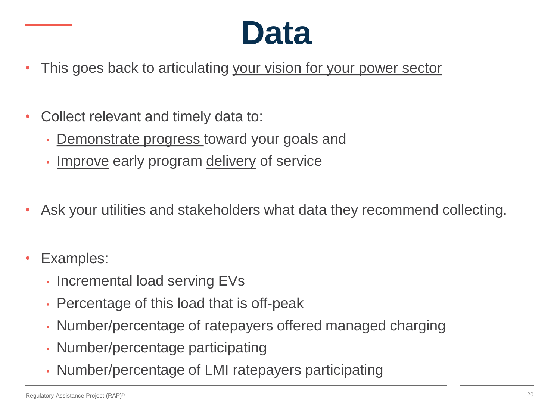## **Data**

- This goes back to articulating your vision for your power sector
- Collect relevant and timely data to:
	- Demonstrate progress toward your goals and
	- Improve early program delivery of service
- Ask your utilities and stakeholders what data they recommend collecting.
- Examples:
	- Incremental load serving EVs
	- Percentage of this load that is off-peak
	- Number/percentage of ratepayers offered managed charging
	- Number/percentage participating
	- Number/percentage of LMI ratepayers participating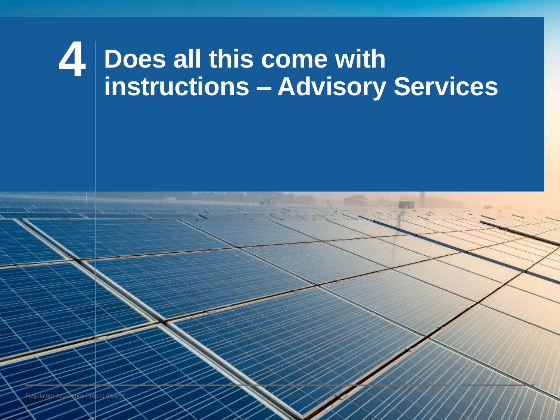## **4 Does all this come with instructions – Advisory Services**

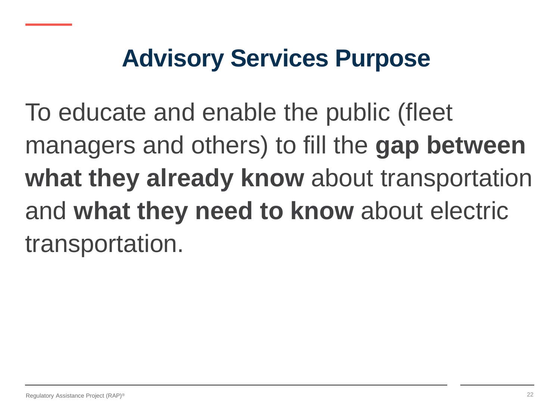### **Advisory Services Purpose**

To educate and enable the public (fleet managers and others) to fill the **gap between what they already know** about transportation and **what they need to know** about electric transportation.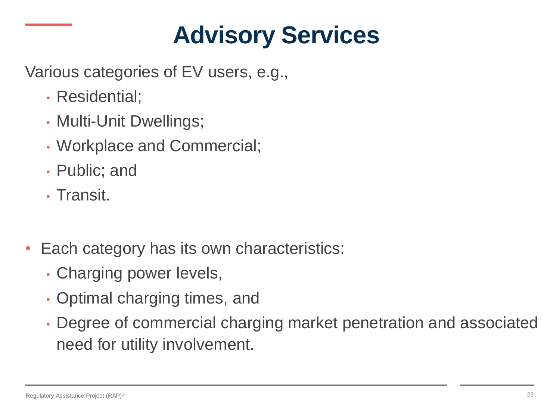### **Advisory Services**

Various categories of EV users, e.g.,

- Residential;
- Multi-Unit Dwellings;
- Workplace and Commercial;
- Public; and
- Transit.
- Each category has its own characteristics:
	- Charging power levels,
	- Optimal charging times, and
	- Degree of commercial charging market penetration and associated need for utility involvement.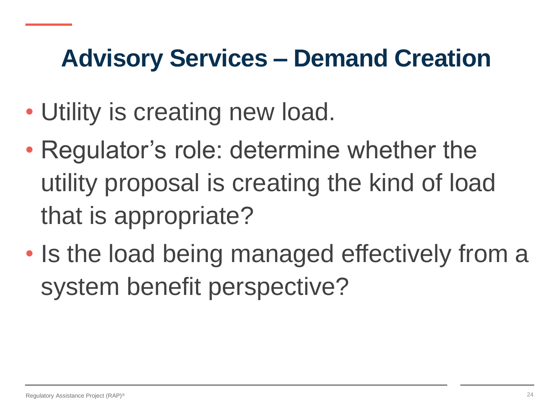### **Advisory Services – Demand Creation**

- Utility is creating new load.
- Regulator's role: determine whether the utility proposal is creating the kind of load that is appropriate?
- Is the load being managed effectively from a system benefit perspective?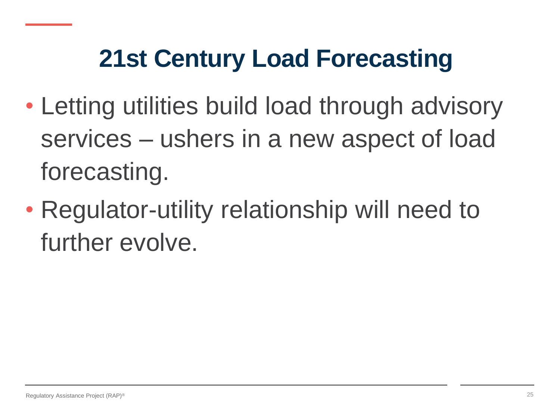### **21st Century Load Forecasting**

- Letting utilities build load through advisory services – ushers in a new aspect of load forecasting.
- Regulator-utility relationship will need to further evolve.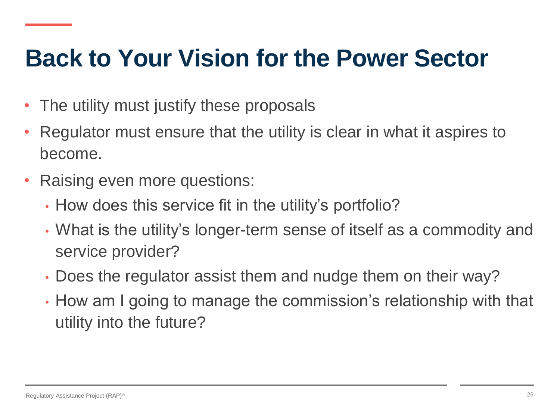### **Back to Your Vision for the Power Sector**

- The utility must justify these proposals
- Regulator must ensure that the utility is clear in what it aspires to become.
- Raising even more questions:
	- How does this service fit in the utility's portfolio?
	- What is the utility's longer-term sense of itself as a commodity and service provider?
	- Does the regulator assist them and nudge them on their way?
	- How am I going to manage the commission's relationship with that utility into the future?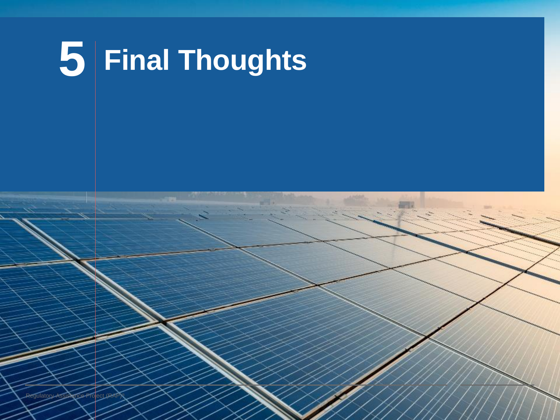

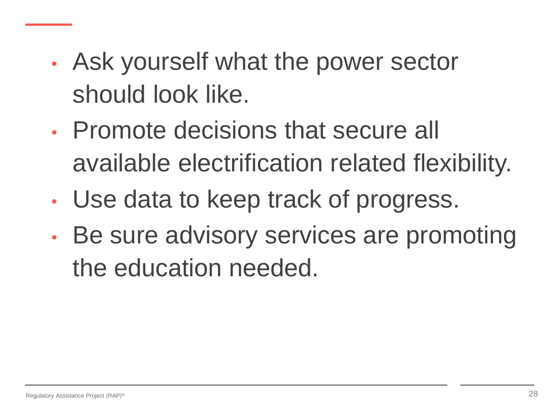- Ask yourself what the power sector should look like.
- Promote decisions that secure all available electrification related flexibility.
- Use data to keep track of progress.
- Be sure advisory services are promoting the education needed.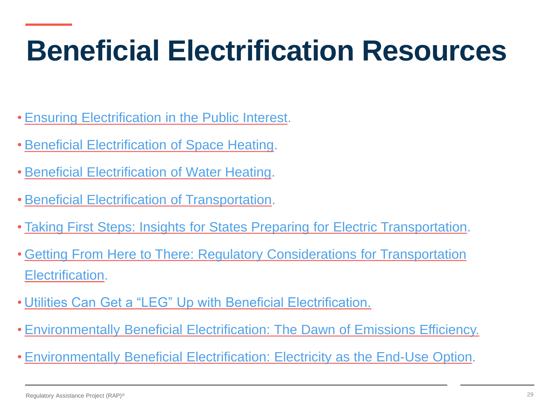## **Beneficial Electrification Resources**

- [Ensuring Electrification in the Public Interest](https://www.raponline.org/knowledge-center/beneficial-electrification-ensuring-electrification-public-interest/).
- [Beneficial Electrification of Space Heating](https://www.raponline.org/knowledge-center/beneficial-electrification-of-space-heating/).
- [Beneficial Electrification of Water Heating.](https://www.raponline.org/knowledge-center/beneficial-electrification-of-water-heating/)
- [Beneficial Electrification of Transportation](https://www.raponline.org/knowledge-center/beneficial-electrification-of-transportation/).
- [Taking First Steps: Insights for States Preparing for Electric Transportation.](https://www.raponline.org/wp-content/uploads/2020/02/rap-farnsworth-et-al-EVs-first-steps-2020-april.pdf)
- [Getting From Here to There: Regulatory Considerations for Transportation](https://www.raponline.org/knowledge-center/getting-from-here-to-there-regulatory-considerations-for-transportation-electrification/)  Electrification.
- [Utilities Can Get a "LEG" Up with Beneficial Electrification.](https://www.raponline.org/blog/utilities-can-get-a-leg-up-with-beneficial-electrification-but-regulators-also-have-to-be-ready)
- [Environmentally Beneficial Electrification: The Dawn of Emissions Efficiency.](http://www.raponline.org/knowledge-center/environmentally-beneficial-electrification-dawn-emissions-efficiency/?%20_sf_s=environmentally+beneficial+electrification)
- [Environmentally Beneficial Electrification: Electricity as the End-Use Option](https://www.sciencedirect.com/science/article/pii/S104061901500202X).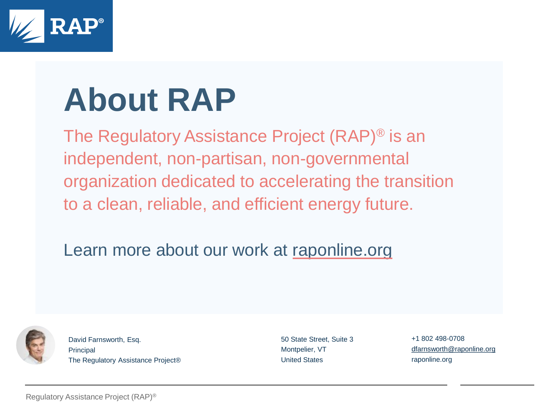

# **About RAP**

The Regulatory Assistance Project (RAP)® is an independent, non-partisan, non-governmental organization dedicated to accelerating the transition to a clean, reliable, and efficient energy future.

Learn more about our work at [raponline.org](http://www.raponline.org/)



David Farnsworth, Esq. **Principal** The Regulatory Assistance Project® 50 State Street, Suite 3 Montpelier, VT United States

+1 802 498-0708 [dfarnsworth@raponline.org](mailto:dfarnsworth@raponline.org) raponline.org

Regulatory Assistance Project (RAP)®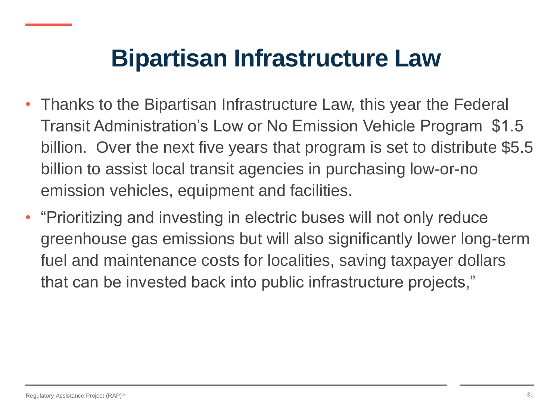### **Bipartisan Infrastructure Law**

- Thanks to the Bipartisan Infrastructure Law, this year the Federal Transit Administration's Low or No Emission Vehicle Program \$1.5 billion. Over the next five years that program is set to distribute \$5.5 billion to assist local transit agencies in purchasing low-or-no emission vehicles, equipment and facilities.
- "Prioritizing and investing in electric buses will not only reduce greenhouse gas emissions but will also significantly lower long-term fuel and maintenance costs for localities, saving taxpayer dollars that can be invested back into public infrastructure projects,"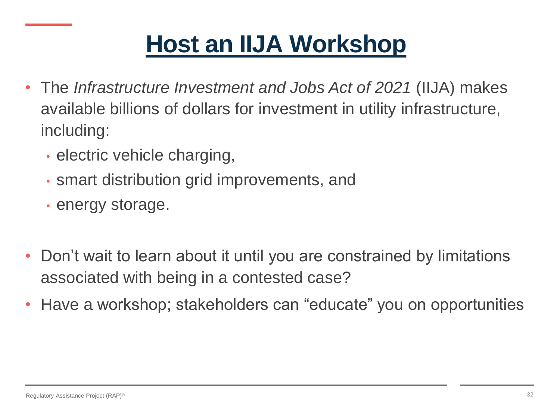### **[Host an IIJA Workshop](https://www.raponline.org/blog/surfs-up-catching-the-iija-wave/)**

- The *Infrastructure Investment and Jobs Act of 2021* (IIJA) makes available billions of dollars for investment in utility infrastructure, including:
	- electric vehicle charging,
	- smart distribution grid improvements, and
	- energy storage.
- Don't wait to learn about it until you are constrained by limitations associated with being in a contested case?
- Have a workshop; stakeholders can "educate" you on opportunities